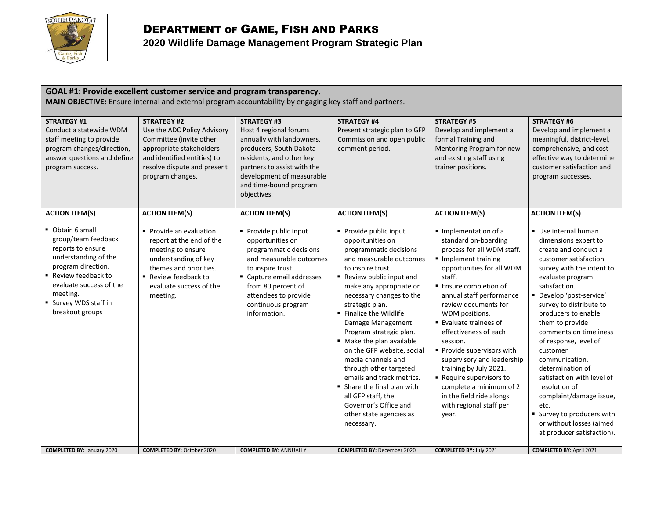

| GOAL #1: Provide excellent customer service and program transparency.<br>MAIN OBJECTIVE: Ensure internal and external program accountability by engaging key staff and partners.                                                       |                                                                                                                                                                                                     |                                                                                                                                                                                                                                            |                                                                                                                                                                                                                                                                                                                                                                                                                                                                                                                                                                                 |                                                                                                                                                                                                                                                                                                                                                                                                                                                                                                                             |                                                                                                                                                                                                                                                                                                                                                                                                                                                                                                                                                          |
|----------------------------------------------------------------------------------------------------------------------------------------------------------------------------------------------------------------------------------------|-----------------------------------------------------------------------------------------------------------------------------------------------------------------------------------------------------|--------------------------------------------------------------------------------------------------------------------------------------------------------------------------------------------------------------------------------------------|---------------------------------------------------------------------------------------------------------------------------------------------------------------------------------------------------------------------------------------------------------------------------------------------------------------------------------------------------------------------------------------------------------------------------------------------------------------------------------------------------------------------------------------------------------------------------------|-----------------------------------------------------------------------------------------------------------------------------------------------------------------------------------------------------------------------------------------------------------------------------------------------------------------------------------------------------------------------------------------------------------------------------------------------------------------------------------------------------------------------------|----------------------------------------------------------------------------------------------------------------------------------------------------------------------------------------------------------------------------------------------------------------------------------------------------------------------------------------------------------------------------------------------------------------------------------------------------------------------------------------------------------------------------------------------------------|
| <b>STRATEGY #1</b><br>Conduct a statewide WDM<br>staff meeting to provide<br>program changes/direction,<br>answer questions and define<br>program success.                                                                             | <b>STRATEGY #2</b><br>Use the ADC Policy Advisory<br>Committee (invite other<br>appropriate stakeholders<br>and identified entities) to<br>resolve dispute and present<br>program changes.          | <b>STRATEGY #3</b><br>Host 4 regional forums<br>annually with landowners,<br>producers, South Dakota<br>residents, and other key<br>partners to assist with the<br>development of measurable<br>and time-bound program<br>objectives.      | <b>STRATEGY #4</b><br>Present strategic plan to GFP<br>Commission and open public<br>comment period.                                                                                                                                                                                                                                                                                                                                                                                                                                                                            | <b>STRATEGY #5</b><br>Develop and implement a<br>formal Training and<br>Mentoring Program for new<br>and existing staff using<br>trainer positions.                                                                                                                                                                                                                                                                                                                                                                         | <b>STRATEGY #6</b><br>Develop and implement a<br>meaningful, district-level,<br>comprehensive, and cost-<br>effective way to determine<br>customer satisfaction and<br>program successes.                                                                                                                                                                                                                                                                                                                                                                |
| <b>ACTION ITEM(S)</b><br>Obtain 6 small                                                                                                                                                                                                | <b>ACTION ITEM(S)</b><br>Provide an evaluation                                                                                                                                                      | <b>ACTION ITEM(S)</b><br>Provide public input                                                                                                                                                                                              | <b>ACTION ITEM(S)</b><br>Provide public input                                                                                                                                                                                                                                                                                                                                                                                                                                                                                                                                   | <b>ACTION ITEM(S)</b><br>Implementation of a                                                                                                                                                                                                                                                                                                                                                                                                                                                                                | <b>ACTION ITEM(S)</b><br>Use internal human                                                                                                                                                                                                                                                                                                                                                                                                                                                                                                              |
| group/team feedback<br>reports to ensure<br>understanding of the<br>program direction.<br>■ Review feedback to<br>evaluate success of the<br>meeting.<br>■ Survey WDS staff in<br>breakout groups<br><b>COMPLETED BY: January 2020</b> | report at the end of the<br>meeting to ensure<br>understanding of key<br>themes and priorities.<br>■ Review feedback to<br>evaluate success of the<br>meeting.<br><b>COMPLETED BY: October 2020</b> | opportunities on<br>programmatic decisions<br>and measurable outcomes<br>to inspire trust.<br>Capture email addresses<br>from 80 percent of<br>attendees to provide<br>continuous program<br>information.<br><b>COMPLETED BY: ANNUALLY</b> | opportunities on<br>programmatic decisions<br>and measurable outcomes<br>to inspire trust.<br>Review public input and<br>make any appropriate or<br>necessary changes to the<br>strategic plan.<br>■ Finalize the Wildlife<br>Damage Management<br>Program strategic plan.<br>• Make the plan available<br>on the GFP website, social<br>media channels and<br>through other targeted<br>emails and track metrics.<br>• Share the final plan with<br>all GFP staff, the<br>Governor's Office and<br>other state agencies as<br>necessary.<br><b>COMPLETED BY: December 2020</b> | standard on-boarding<br>process for all WDM staff.<br>Implement training<br>opportunities for all WDM<br>staff.<br>■ Ensure completion of<br>annual staff performance<br>review documents for<br>WDM positions.<br>■ Evaluate trainees of<br>effectiveness of each<br>session.<br>Provide supervisors with<br>supervisory and leadership<br>training by July 2021.<br>- Require supervisors to<br>complete a minimum of 2<br>in the field ride alongs<br>with regional staff per<br>year.<br><b>COMPLETED BY: July 2021</b> | dimensions expert to<br>create and conduct a<br>customer satisfaction<br>survey with the intent to<br>evaluate program<br>satisfaction.<br>Develop 'post-service'<br>survey to distribute to<br>producers to enable<br>them to provide<br>comments on timeliness<br>of response, level of<br>customer<br>communication,<br>determination of<br>satisfaction with level of<br>resolution of<br>complaint/damage issue,<br>etc.<br>■ Survey to producers with<br>or without losses (aimed<br>at producer satisfaction).<br><b>COMPLETED BY: April 2021</b> |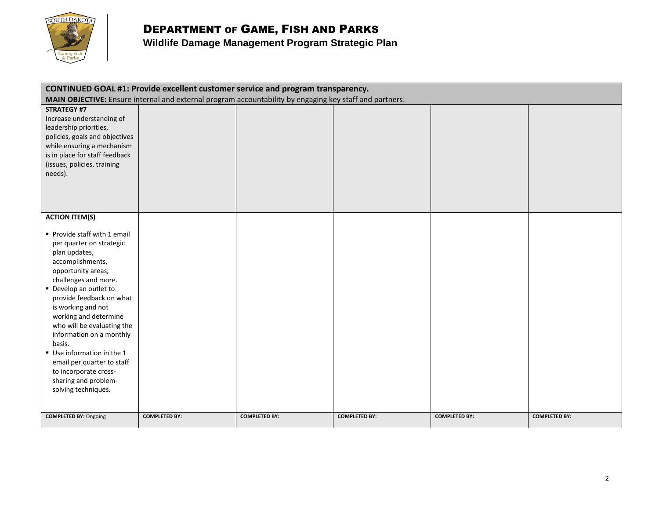

## DEPARTMENT OF GAME, FISH AND PARKS

| CONTINUED GOAL #1: Provide excellent customer service and program transparency.<br>MAIN OBJECTIVE: Ensure internal and external program accountability by engaging key staff and partners. |                      |                      |                      |                      |                      |
|--------------------------------------------------------------------------------------------------------------------------------------------------------------------------------------------|----------------------|----------------------|----------------------|----------------------|----------------------|
| <b>STRATEGY #7</b>                                                                                                                                                                         |                      |                      |                      |                      |                      |
| Increase understanding of                                                                                                                                                                  |                      |                      |                      |                      |                      |
| leadership priorities,                                                                                                                                                                     |                      |                      |                      |                      |                      |
| policies, goals and objectives                                                                                                                                                             |                      |                      |                      |                      |                      |
| while ensuring a mechanism                                                                                                                                                                 |                      |                      |                      |                      |                      |
| is in place for staff feedback                                                                                                                                                             |                      |                      |                      |                      |                      |
| (issues, policies, training                                                                                                                                                                |                      |                      |                      |                      |                      |
| needs).                                                                                                                                                                                    |                      |                      |                      |                      |                      |
|                                                                                                                                                                                            |                      |                      |                      |                      |                      |
|                                                                                                                                                                                            |                      |                      |                      |                      |                      |
|                                                                                                                                                                                            |                      |                      |                      |                      |                      |
|                                                                                                                                                                                            |                      |                      |                      |                      |                      |
| <b>ACTION ITEM(S)</b>                                                                                                                                                                      |                      |                      |                      |                      |                      |
| Provide staff with 1 email                                                                                                                                                                 |                      |                      |                      |                      |                      |
| per quarter on strategic                                                                                                                                                                   |                      |                      |                      |                      |                      |
| plan updates,                                                                                                                                                                              |                      |                      |                      |                      |                      |
| accomplishments,                                                                                                                                                                           |                      |                      |                      |                      |                      |
| opportunity areas,                                                                                                                                                                         |                      |                      |                      |                      |                      |
| challenges and more.                                                                                                                                                                       |                      |                      |                      |                      |                      |
| • Develop an outlet to                                                                                                                                                                     |                      |                      |                      |                      |                      |
| provide feedback on what                                                                                                                                                                   |                      |                      |                      |                      |                      |
| is working and not                                                                                                                                                                         |                      |                      |                      |                      |                      |
| working and determine                                                                                                                                                                      |                      |                      |                      |                      |                      |
| who will be evaluating the                                                                                                                                                                 |                      |                      |                      |                      |                      |
| information on a monthly                                                                                                                                                                   |                      |                      |                      |                      |                      |
| basis.                                                                                                                                                                                     |                      |                      |                      |                      |                      |
| Use information in the 1                                                                                                                                                                   |                      |                      |                      |                      |                      |
| email per quarter to staff                                                                                                                                                                 |                      |                      |                      |                      |                      |
| to incorporate cross-                                                                                                                                                                      |                      |                      |                      |                      |                      |
| sharing and problem-                                                                                                                                                                       |                      |                      |                      |                      |                      |
| solving techniques.                                                                                                                                                                        |                      |                      |                      |                      |                      |
|                                                                                                                                                                                            |                      |                      |                      |                      |                      |
| <b>COMPLETED BY: Ongoing</b>                                                                                                                                                               | <b>COMPLETED BY:</b> | <b>COMPLETED BY:</b> | <b>COMPLETED BY:</b> | <b>COMPLETED BY:</b> | <b>COMPLETED BY:</b> |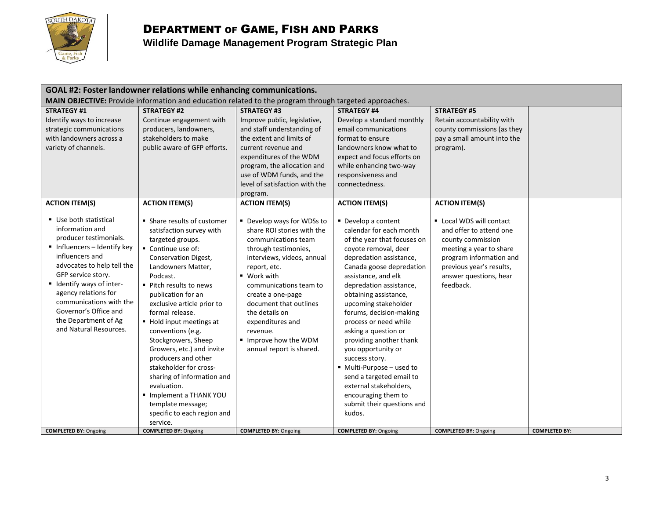

## DEPARTMENT OF GAME, FISH AND PARKS

| GOAL #2: Foster landowner relations while enhancing communications.                                                                                                                                                                                                                                                               |                                                                                                                                                                                                                                                                                                                                                                                                                                                                                                                                             |                                                                                                                                                                                                                                                                                                                                                    |                                                                                                                                                                                                                                                                                                                                                                                                                                                                                                                                                                  |                                                                                                                                                                                                   |                      |  |
|-----------------------------------------------------------------------------------------------------------------------------------------------------------------------------------------------------------------------------------------------------------------------------------------------------------------------------------|---------------------------------------------------------------------------------------------------------------------------------------------------------------------------------------------------------------------------------------------------------------------------------------------------------------------------------------------------------------------------------------------------------------------------------------------------------------------------------------------------------------------------------------------|----------------------------------------------------------------------------------------------------------------------------------------------------------------------------------------------------------------------------------------------------------------------------------------------------------------------------------------------------|------------------------------------------------------------------------------------------------------------------------------------------------------------------------------------------------------------------------------------------------------------------------------------------------------------------------------------------------------------------------------------------------------------------------------------------------------------------------------------------------------------------------------------------------------------------|---------------------------------------------------------------------------------------------------------------------------------------------------------------------------------------------------|----------------------|--|
| <b>MAIN OBJECTIVE:</b> Provide information and education related to the program through targeted approaches.                                                                                                                                                                                                                      |                                                                                                                                                                                                                                                                                                                                                                                                                                                                                                                                             |                                                                                                                                                                                                                                                                                                                                                    |                                                                                                                                                                                                                                                                                                                                                                                                                                                                                                                                                                  |                                                                                                                                                                                                   |                      |  |
| <b>STRATEGY #1</b><br>Identify ways to increase<br>strategic communications<br>with landowners across a<br>variety of channels.                                                                                                                                                                                                   | <b>STRATEGY #2</b><br>Continue engagement with<br>producers, landowners,<br>stakeholders to make<br>public aware of GFP efforts.                                                                                                                                                                                                                                                                                                                                                                                                            | <b>STRATEGY #3</b><br>Improve public, legislative,<br>and staff understanding of<br>the extent and limits of<br>current revenue and<br>expenditures of the WDM<br>program, the allocation and<br>use of WDM funds, and the<br>level of satisfaction with the<br>program.                                                                           | <b>STRATEGY #4</b><br>Develop a standard monthly<br>email communications<br>format to ensure<br>landowners know what to<br>expect and focus efforts on<br>while enhancing two-way<br>responsiveness and<br>connectedness.                                                                                                                                                                                                                                                                                                                                        | <b>STRATEGY #5</b><br>Retain accountability with<br>county commissions (as they<br>pay a small amount into the<br>program).                                                                       |                      |  |
| <b>ACTION ITEM(S)</b>                                                                                                                                                                                                                                                                                                             | <b>ACTION ITEM(S)</b>                                                                                                                                                                                                                                                                                                                                                                                                                                                                                                                       | <b>ACTION ITEM(S)</b>                                                                                                                                                                                                                                                                                                                              | <b>ACTION ITEM(S)</b>                                                                                                                                                                                                                                                                                                                                                                                                                                                                                                                                            | <b>ACTION ITEM(S)</b>                                                                                                                                                                             |                      |  |
| Use both statistical<br>information and<br>producer testimonials.<br>Influencers - Identify key<br>influencers and<br>advocates to help tell the<br>GFP service story.<br>■ Identify ways of inter-<br>agency relations for<br>communications with the<br>Governor's Office and<br>the Department of Ag<br>and Natural Resources. | • Share results of customer<br>satisfaction survey with<br>targeted groups.<br>Continue use of:<br>Conservation Digest,<br>Landowners Matter,<br>Podcast.<br>■ Pitch results to news<br>publication for an<br>exclusive article prior to<br>formal release.<br>■ Hold input meetings at<br>conventions (e.g.<br>Stockgrowers, Sheep<br>Growers, etc.) and invite<br>producers and other<br>stakeholder for cross-<br>sharing of information and<br>evaluation.<br>Implement a THANK YOU<br>template message;<br>specific to each region and | ■ Develop ways for WDSs to<br>share ROI stories with the<br>communications team<br>through testimonies,<br>interviews, videos, annual<br>report, etc.<br>■ Work with<br>communications team to<br>create a one-page<br>document that outlines<br>the details on<br>expenditures and<br>revenue.<br>Improve how the WDM<br>annual report is shared. | ■ Develop a content<br>calendar for each month<br>of the year that focuses on<br>coyote removal, deer<br>depredation assistance,<br>Canada goose depredation<br>assistance, and elk<br>depredation assistance,<br>obtaining assistance,<br>upcoming stakeholder<br>forums, decision-making<br>process or need while<br>asking a question or<br>providing another thank<br>you opportunity or<br>success story.<br>■ Multi-Purpose - used to<br>send a targeted email to<br>external stakeholders,<br>encouraging them to<br>submit their questions and<br>kudos. | ■ Local WDS will contact<br>and offer to attend one<br>county commission<br>meeting a year to share<br>program information and<br>previous year's results,<br>answer questions, hear<br>feedback. |                      |  |
|                                                                                                                                                                                                                                                                                                                                   | service.                                                                                                                                                                                                                                                                                                                                                                                                                                                                                                                                    |                                                                                                                                                                                                                                                                                                                                                    |                                                                                                                                                                                                                                                                                                                                                                                                                                                                                                                                                                  |                                                                                                                                                                                                   |                      |  |
| <b>COMPLETED BY: Ongoing</b>                                                                                                                                                                                                                                                                                                      | <b>COMPLETED BY: Ongoing</b>                                                                                                                                                                                                                                                                                                                                                                                                                                                                                                                | <b>COMPLETED BY: Ongoing</b>                                                                                                                                                                                                                                                                                                                       | <b>COMPLETED BY: Ongoing</b>                                                                                                                                                                                                                                                                                                                                                                                                                                                                                                                                     | <b>COMPLETED BY: Ongoing</b>                                                                                                                                                                      | <b>COMPLETED BY:</b> |  |